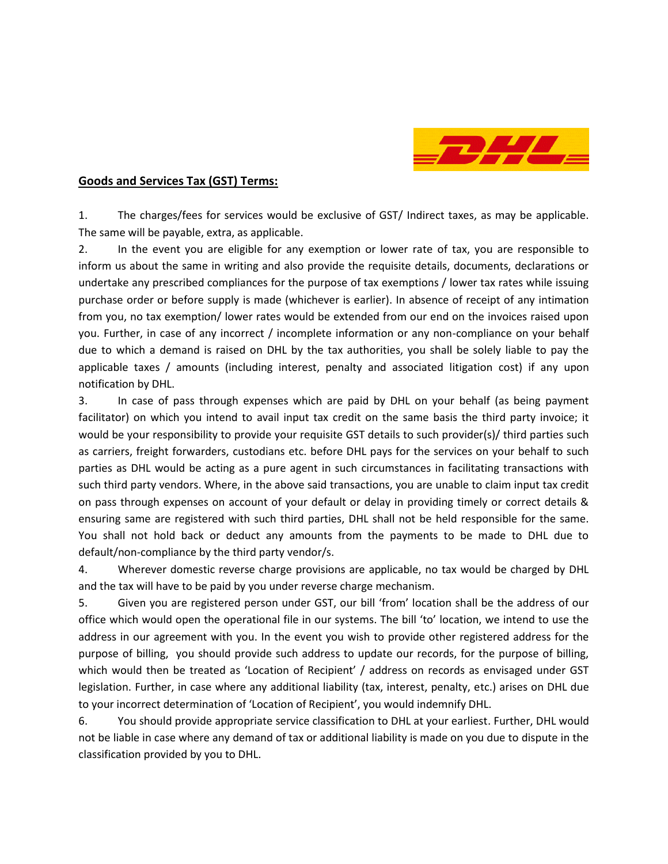

## **Goods and Services Tax (GST) Terms:**

1. The charges/fees for services would be exclusive of GST/ Indirect taxes, as may be applicable. The same will be payable, extra, as applicable.

2. In the event you are eligible for any exemption or lower rate of tax, you are responsible to inform us about the same in writing and also provide the requisite details, documents, declarations or undertake any prescribed compliances for the purpose of tax exemptions / lower tax rates while issuing purchase order or before supply is made (whichever is earlier). In absence of receipt of any intimation from you, no tax exemption/ lower rates would be extended from our end on the invoices raised upon you. Further, in case of any incorrect / incomplete information or any non-compliance on your behalf due to which a demand is raised on DHL by the tax authorities, you shall be solely liable to pay the applicable taxes / amounts (including interest, penalty and associated litigation cost) if any upon notification by DHL.

3. In case of pass through expenses which are paid by DHL on your behalf (as being payment facilitator) on which you intend to avail input tax credit on the same basis the third party invoice; it would be your responsibility to provide your requisite GST details to such provider(s)/ third parties such as carriers, freight forwarders, custodians etc. before DHL pays for the services on your behalf to such parties as DHL would be acting as a pure agent in such circumstances in facilitating transactions with such third party vendors. Where, in the above said transactions, you are unable to claim input tax credit on pass through expenses on account of your default or delay in providing timely or correct details & ensuring same are registered with such third parties, DHL shall not be held responsible for the same. You shall not hold back or deduct any amounts from the payments to be made to DHL due to default/non-compliance by the third party vendor/s.

4. Wherever domestic reverse charge provisions are applicable, no tax would be charged by DHL and the tax will have to be paid by you under reverse charge mechanism.

5. Given you are registered person under GST, our bill 'from' location shall be the address of our office which would open the operational file in our systems. The bill 'to' location, we intend to use the address in our agreement with you. In the event you wish to provide other registered address for the purpose of billing, you should provide such address to update our records, for the purpose of billing, which would then be treated as 'Location of Recipient' / address on records as envisaged under GST legislation. Further, in case where any additional liability (tax, interest, penalty, etc.) arises on DHL due to your incorrect determination of 'Location of Recipient', you would indemnify DHL.

6. You should provide appropriate service classification to DHL at your earliest. Further, DHL would not be liable in case where any demand of tax or additional liability is made on you due to dispute in the classification provided by you to DHL.